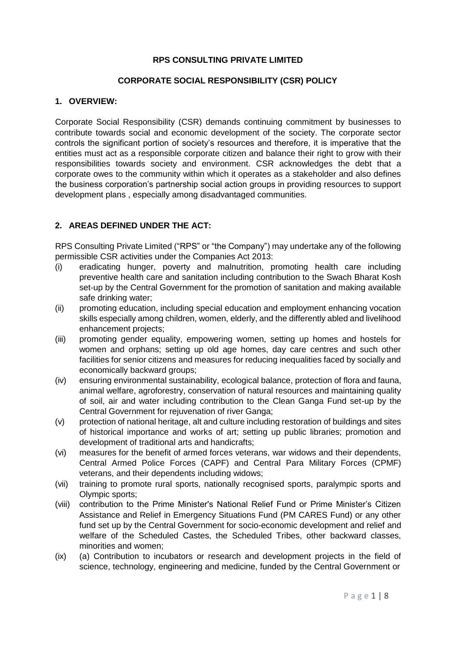### **RPS CONSULTING PRIVATE LIMITED**

#### **CORPORATE SOCIAL RESPONSIBILITY (CSR) POLICY**

### **1. OVERVIEW:**

Corporate Social Responsibility (CSR) demands continuing commitment by businesses to contribute towards social and economic development of the society. The corporate sector controls the significant portion of society's resources and therefore, it is imperative that the entities must act as a responsible corporate citizen and balance their right to grow with their responsibilities towards society and environment. CSR acknowledges the debt that a corporate owes to the community within which it operates as a stakeholder and also defines the business corporation's partnership social action groups in providing resources to support development plans , especially among disadvantaged communities.

### **2. AREAS DEFINED UNDER THE ACT:**

RPS Consulting Private Limited ("RPS" or "the Company") may undertake any of the following permissible CSR activities under the Companies Act 2013:

- (i) eradicating hunger, poverty and malnutrition, promoting health care including preventive health care and sanitation including contribution to the Swach Bharat Kosh set-up by the Central Government for the promotion of sanitation and making available safe drinking water;
- (ii) promoting education, including special education and employment enhancing vocation skills especially among children, women, elderly, and the differently abled and livelihood enhancement projects;
- (iii) promoting gender equality, empowering women, setting up homes and hostels for women and orphans; setting up old age homes, day care centres and such other facilities for senior citizens and measures for reducing inequalities faced by socially and economically backward groups;
- (iv) ensuring environmental sustainability, ecological balance, protection of flora and fauna, animal welfare, agroforestry, conservation of natural resources and maintaining quality of soil, air and water including contribution to the Clean Ganga Fund set-up by the Central Government for rejuvenation of river Ganga;
- (v) protection of national heritage, alt and culture including restoration of buildings and sites of historical importance and works of art; setting up public libraries; promotion and development of traditional arts and handicrafts;
- (vi) measures for the benefit of armed forces veterans, war widows and their dependents, Central Armed Police Forces (CAPF) and Central Para Military Forces (CPMF) veterans, and their dependents including widows;
- (vii) training to promote rural sports, nationally recognised sports, paralympic sports and Olympic sports;
- (viii) contribution to the Prime Minister's National Relief Fund or Prime Minister's Citizen Assistance and Relief in Emergency Situations Fund (PM CARES Fund) or any other fund set up by the Central Government for socio-economic development and relief and welfare of the Scheduled Castes, the Scheduled Tribes, other backward classes, minorities and women;
- (ix) (a) Contribution to incubators or research and development projects in the field of science, technology, engineering and medicine, funded by the Central Government or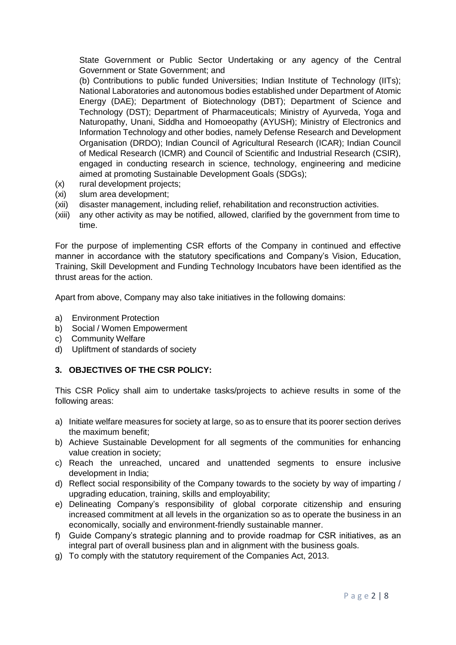State Government or Public Sector Undertaking or any agency of the Central Government or State Government; and

(b) Contributions to public funded Universities; Indian Institute of Technology (IITs); National Laboratories and autonomous bodies established under Department of Atomic Energy (DAE); Department of Biotechnology (DBT); Department of Science and Technology (DST); Department of Pharmaceuticals; Ministry of Ayurveda, Yoga and Naturopathy, Unani, Siddha and Homoeopathy (AYUSH); Ministry of Electronics and Information Technology and other bodies, namely Defense Research and Development Organisation (DRDO); Indian Council of Agricultural Research (ICAR); Indian Council of Medical Research (ICMR) and Council of Scientific and Industrial Research (CSIR), engaged in conducting research in science, technology, engineering and medicine aimed at promoting Sustainable Development Goals (SDGs);

- (x) rural development projects;
- (xi) slum area development;
- (xii) disaster management, including relief, rehabilitation and reconstruction activities.
- (xiii) any other activity as may be notified, allowed, clarified by the government from time to time.

For the purpose of implementing CSR efforts of the Company in continued and effective manner in accordance with the statutory specifications and Company's Vision, Education, Training, Skill Development and Funding Technology Incubators have been identified as the thrust areas for the action.

Apart from above, Company may also take initiatives in the following domains:

- a) Environment Protection
- b) Social / Women Empowerment
- c) Community Welfare
- d) Upliftment of standards of society

### **3. OBJECTIVES OF THE CSR POLICY:**

This CSR Policy shall aim to undertake tasks/projects to achieve results in some of the following areas:

- a) Initiate welfare measures for society at large, so as to ensure that its poorer section derives the maximum benefit;
- b) Achieve Sustainable Development for all segments of the communities for enhancing value creation in society;
- c) Reach the unreached, uncared and unattended segments to ensure inclusive development in India;
- d) Reflect social responsibility of the Company towards to the society by way of imparting / upgrading education, training, skills and employability;
- e) Delineating Company's responsibility of global corporate citizenship and ensuring increased commitment at all levels in the organization so as to operate the business in an economically, socially and environment-friendly sustainable manner.
- f) Guide Company's strategic planning and to provide roadmap for CSR initiatives, as an integral part of overall business plan and in alignment with the business goals.
- g) To comply with the statutory requirement of the Companies Act, 2013.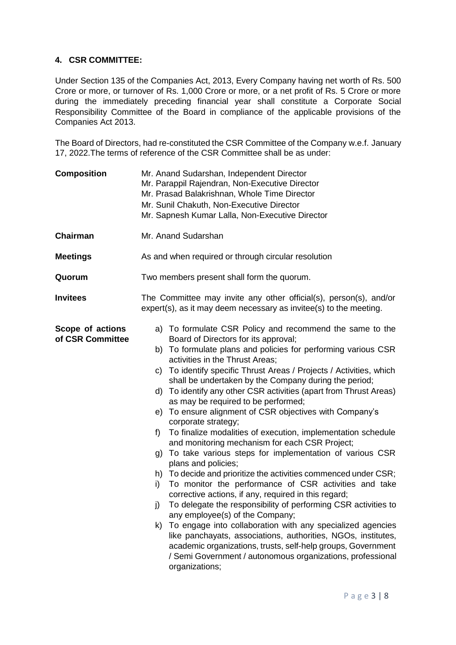### **4. CSR COMMITTEE:**

Under Section 135 of the Companies Act, 2013, Every Company having net worth of Rs. 500 Crore or more, or turnover of Rs. 1,000 Crore or more, or a net profit of Rs. 5 Crore or more during the immediately preceding financial year shall constitute a Corporate Social Responsibility Committee of the Board in compliance of the applicable provisions of the Companies Act 2013.

The Board of Directors, had re-constituted the CSR Committee of the Company w.e.f. January 17, 2022.The terms of reference of the CSR Committee shall be as under:

| <b>Composition</b>                   | Mr. Anand Sudarshan, Independent Director<br>Mr. Parappil Rajendran, Non-Executive Director<br>Mr. Prasad Balakrishnan, Whole Time Director<br>Mr. Sunil Chakuth, Non-Executive Director<br>Mr. Sapnesh Kumar Lalla, Non-Executive Director                                                                                                                                                                                                                                                                                                                                                                                                                                                                                                                                                                                                                                                                                                                                                                                                                                                                                                                                                                                                                                                                                                        |
|--------------------------------------|----------------------------------------------------------------------------------------------------------------------------------------------------------------------------------------------------------------------------------------------------------------------------------------------------------------------------------------------------------------------------------------------------------------------------------------------------------------------------------------------------------------------------------------------------------------------------------------------------------------------------------------------------------------------------------------------------------------------------------------------------------------------------------------------------------------------------------------------------------------------------------------------------------------------------------------------------------------------------------------------------------------------------------------------------------------------------------------------------------------------------------------------------------------------------------------------------------------------------------------------------------------------------------------------------------------------------------------------------|
| Chairman                             | Mr. Anand Sudarshan                                                                                                                                                                                                                                                                                                                                                                                                                                                                                                                                                                                                                                                                                                                                                                                                                                                                                                                                                                                                                                                                                                                                                                                                                                                                                                                                |
| <b>Meetings</b>                      | As and when required or through circular resolution                                                                                                                                                                                                                                                                                                                                                                                                                                                                                                                                                                                                                                                                                                                                                                                                                                                                                                                                                                                                                                                                                                                                                                                                                                                                                                |
| Quorum                               | Two members present shall form the quorum.                                                                                                                                                                                                                                                                                                                                                                                                                                                                                                                                                                                                                                                                                                                                                                                                                                                                                                                                                                                                                                                                                                                                                                                                                                                                                                         |
| <b>Invitees</b>                      | The Committee may invite any other official(s), person(s), and/or<br>expert(s), as it may deem necessary as invitee(s) to the meeting.                                                                                                                                                                                                                                                                                                                                                                                                                                                                                                                                                                                                                                                                                                                                                                                                                                                                                                                                                                                                                                                                                                                                                                                                             |
| Scope of actions<br>of CSR Committee | a) To formulate CSR Policy and recommend the same to the<br>Board of Directors for its approval;<br>b) To formulate plans and policies for performing various CSR<br>activities in the Thrust Areas;<br>To identify specific Thrust Areas / Projects / Activities, which<br>C)<br>shall be undertaken by the Company during the period;<br>d) To identify any other CSR activities (apart from Thrust Areas)<br>as may be required to be performed;<br>To ensure alignment of CSR objectives with Company's<br>e)<br>corporate strategy;<br>To finalize modalities of execution, implementation schedule<br>f)<br>and monitoring mechanism for each CSR Project;<br>To take various steps for implementation of various CSR<br>g)<br>plans and policies;<br>h) To decide and prioritize the activities commenced under CSR;<br>To monitor the performance of CSR activities and take<br>i)<br>corrective actions, if any, required in this regard;<br>To delegate the responsibility of performing CSR activities to<br>j)<br>any employee(s) of the Company;<br>To engage into collaboration with any specialized agencies<br>k)<br>like panchayats, associations, authorities, NGOs, institutes,<br>academic organizations, trusts, self-help groups, Government<br>/ Semi Government / autonomous organizations, professional<br>organizations; |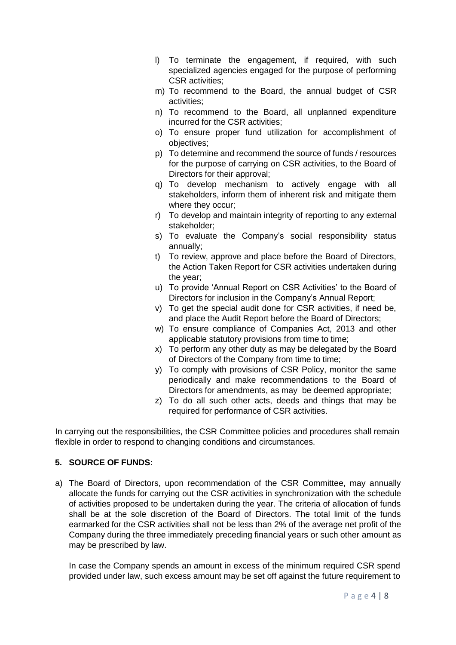- l) To terminate the engagement, if required, with such specialized agencies engaged for the purpose of performing CSR activities;
- m) To recommend to the Board, the annual budget of CSR activities;
- n) To recommend to the Board, all unplanned expenditure incurred for the CSR activities;
- o) To ensure proper fund utilization for accomplishment of objectives;
- p) To determine and recommend the source of funds / resources for the purpose of carrying on CSR activities, to the Board of Directors for their approval;
- q) To develop mechanism to actively engage with all stakeholders, inform them of inherent risk and mitigate them where they occur;
- r) To develop and maintain integrity of reporting to any external stakeholder;
- s) To evaluate the Company's social responsibility status annually;
- t) To review, approve and place before the Board of Directors, the Action Taken Report for CSR activities undertaken during the year;
- u) To provide 'Annual Report on CSR Activities' to the Board of Directors for inclusion in the Company's Annual Report;
- v) To get the special audit done for CSR activities, if need be, and place the Audit Report before the Board of Directors;
- w) To ensure compliance of Companies Act, 2013 and other applicable statutory provisions from time to time;
- x) To perform any other duty as may be delegated by the Board of Directors of the Company from time to time;
- y) To comply with provisions of CSR Policy, monitor the same periodically and make recommendations to the Board of Directors for amendments, as may be deemed appropriate;
- z) To do all such other acts, deeds and things that may be required for performance of CSR activities.

In carrying out the responsibilities, the CSR Committee policies and procedures shall remain flexible in order to respond to changing conditions and circumstances.

# **5. SOURCE OF FUNDS:**

a) The Board of Directors, upon recommendation of the CSR Committee, may annually allocate the funds for carrying out the CSR activities in synchronization with the schedule of activities proposed to be undertaken during the year. The criteria of allocation of funds shall be at the sole discretion of the Board of Directors. The total limit of the funds earmarked for the CSR activities shall not be less than 2% of the average net profit of the Company during the three immediately preceding financial years or such other amount as may be prescribed by law.

In case the Company spends an amount in excess of the minimum required CSR spend provided under law, such excess amount may be set off against the future requirement to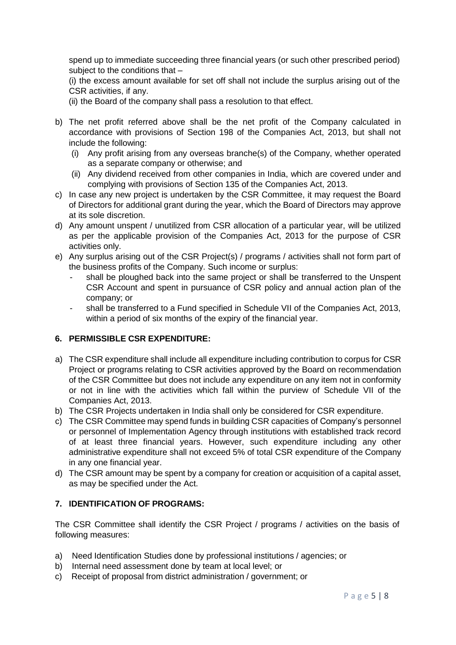spend up to immediate succeeding three financial years (or such other prescribed period) subject to the conditions that –

(i) the excess amount available for set off shall not include the surplus arising out of the CSR activities, if any.

(ii) the Board of the company shall pass a resolution to that effect.

- b) The net profit referred above shall be the net profit of the Company calculated in accordance with provisions of Section 198 of the Companies Act, 2013, but shall not include the following:
	- (i) Any profit arising from any overseas branche(s) of the Company, whether operated as a separate company or otherwise; and
	- (ii) Any dividend received from other companies in India, which are covered under and complying with provisions of Section 135 of the Companies Act, 2013.
- c) In case any new project is undertaken by the CSR Committee, it may request the Board of Directors for additional grant during the year, which the Board of Directors may approve at its sole discretion.
- d) Any amount unspent / unutilized from CSR allocation of a particular year, will be utilized as per the applicable provision of the Companies Act, 2013 for the purpose of CSR activities only.
- e) Any surplus arising out of the CSR Project(s) / programs / activities shall not form part of the business profits of the Company. Such income or surplus:
	- shall be ploughed back into the same project or shall be transferred to the Unspent CSR Account and spent in pursuance of CSR policy and annual action plan of the company; or
	- shall be transferred to a Fund specified in Schedule VII of the Companies Act, 2013, within a period of six months of the expiry of the financial year.

# **6. PERMISSIBLE CSR EXPENDITURE:**

- a) The CSR expenditure shall include all expenditure including contribution to corpus for CSR Project or programs relating to CSR activities approved by the Board on recommendation of the CSR Committee but does not include any expenditure on any item not in conformity or not in line with the activities which fall within the purview of Schedule VII of the Companies Act, 2013.
- b) The CSR Projects undertaken in India shall only be considered for CSR expenditure.
- c) The CSR Committee may spend funds in building CSR capacities of Company's personnel or personnel of Implementation Agency through institutions with established track record of at least three financial years. However, such expenditure including any other administrative expenditure shall not exceed 5% of total CSR expenditure of the Company in any one financial year.
- d) The CSR amount may be spent by a company for creation or acquisition of a capital asset, as may be specified under the Act.

# **7. IDENTIFICATION OF PROGRAMS:**

The CSR Committee shall identify the CSR Project / programs / activities on the basis of following measures:

- a) Need Identification Studies done by professional institutions / agencies; or
- b) Internal need assessment done by team at local level; or
- c) Receipt of proposal from district administration / government; or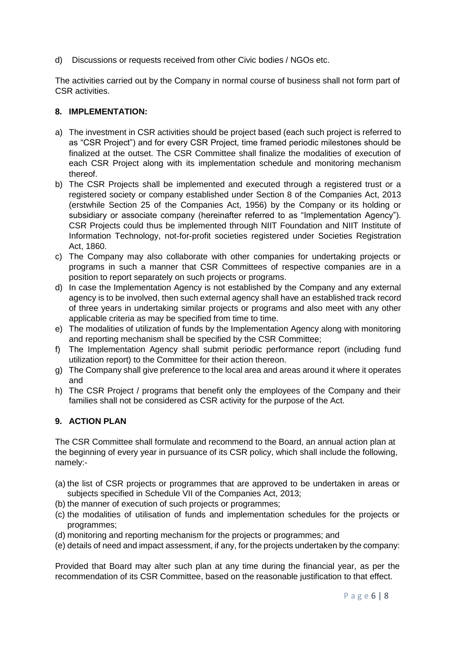d) Discussions or requests received from other Civic bodies / NGOs etc.

The activities carried out by the Company in normal course of business shall not form part of CSR activities.

### **8. IMPLEMENTATION:**

- a) The investment in CSR activities should be project based (each such project is referred to as "CSR Project") and for every CSR Project, time framed periodic milestones should be finalized at the outset. The CSR Committee shall finalize the modalities of execution of each CSR Project along with its implementation schedule and monitoring mechanism thereof.
- b) The CSR Projects shall be implemented and executed through a registered trust or a registered society or company established under Section 8 of the Companies Act, 2013 (erstwhile Section 25 of the Companies Act, 1956) by the Company or its holding or subsidiary or associate company (hereinafter referred to as "Implementation Agency"). CSR Projects could thus be implemented through NIIT Foundation and NIIT Institute of Information Technology, not-for-profit societies registered under Societies Registration Act, 1860.
- c) The Company may also collaborate with other companies for undertaking projects or programs in such a manner that CSR Committees of respective companies are in a position to report separately on such projects or programs.
- d) In case the Implementation Agency is not established by the Company and any external agency is to be involved, then such external agency shall have an established track record of three years in undertaking similar projects or programs and also meet with any other applicable criteria as may be specified from time to time.
- e) The modalities of utilization of funds by the Implementation Agency along with monitoring and reporting mechanism shall be specified by the CSR Committee;
- f) The Implementation Agency shall submit periodic performance report (including fund utilization report) to the Committee for their action thereon.
- g) The Company shall give preference to the local area and areas around it where it operates and
- h) The CSR Project / programs that benefit only the employees of the Company and their families shall not be considered as CSR activity for the purpose of the Act.

# **9. ACTION PLAN**

The CSR Committee shall formulate and recommend to the Board, an annual action plan at the beginning of every year in pursuance of its CSR policy, which shall include the following, namely:-

- (a) the list of CSR projects or programmes that are approved to be undertaken in areas or subjects specified in Schedule VII of the Companies Act, 2013;
- (b) the manner of execution of such projects or programmes;
- (c) the modalities of utilisation of funds and implementation schedules for the projects or programmes;
- (d) monitoring and reporting mechanism for the projects or programmes; and
- (e) details of need and impact assessment, if any, for the projects undertaken by the company:

Provided that Board may alter such plan at any time during the financial year, as per the recommendation of its CSR Committee, based on the reasonable justification to that effect.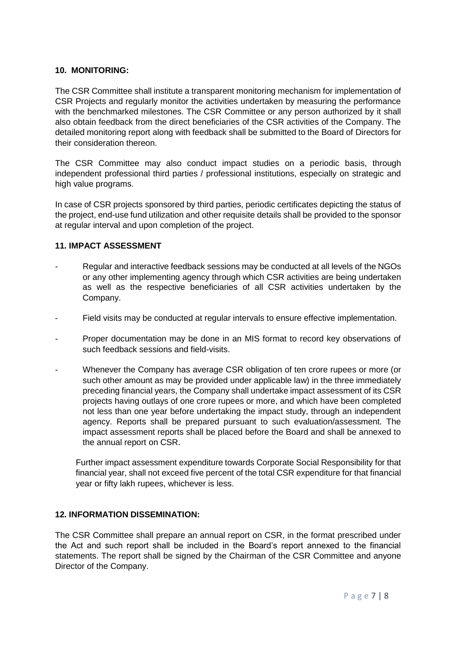### **10. MONITORING:**

The CSR Committee shall institute a transparent monitoring mechanism for implementation of CSR Projects and regularly monitor the activities undertaken by measuring the performance with the benchmarked milestones. The CSR Committee or any person authorized by it shall also obtain feedback from the direct beneficiaries of the CSR activities of the Company. The detailed monitoring report along with feedback shall be submitted to the Board of Directors for their consideration thereon.

The CSR Committee may also conduct impact studies on a periodic basis, through independent professional third parties / professional institutions, especially on strategic and high value programs.

In case of CSR projects sponsored by third parties, periodic certificates depicting the status of the project, end-use fund utilization and other requisite details shall be provided to the sponsor at regular interval and upon completion of the project.

### **11. IMPACT ASSESSMENT**

- Regular and interactive feedback sessions may be conducted at all levels of the NGOs or any other implementing agency through which CSR activities are being undertaken as well as the respective beneficiaries of all CSR activities undertaken by the Company.
- Field visits may be conducted at regular intervals to ensure effective implementation.
- Proper documentation may be done in an MIS format to record key observations of such feedback sessions and field-visits.
- Whenever the Company has average CSR obligation of ten crore rupees or more (or such other amount as may be provided under applicable law) in the three immediately preceding financial years, the Company shall undertake impact assessment of its CSR projects having outlays of one crore rupees or more, and which have been completed not less than one year before undertaking the impact study, through an independent agency. Reports shall be prepared pursuant to such evaluation/assessment. The impact assessment reports shall be placed before the Board and shall be annexed to the annual report on CSR.

Further impact assessment expenditure towards Corporate Social Responsibility for that financial year, shall not exceed five percent of the total CSR expenditure for that financial year or fifty lakh rupees, whichever is less.

# **12. INFORMATION DISSEMINATION:**

The CSR Committee shall prepare an annual report on CSR, in the format prescribed under the Act and such report shall be included in the Board's report annexed to the financial statements. The report shall be signed by the Chairman of the CSR Committee and anyone Director of the Company.